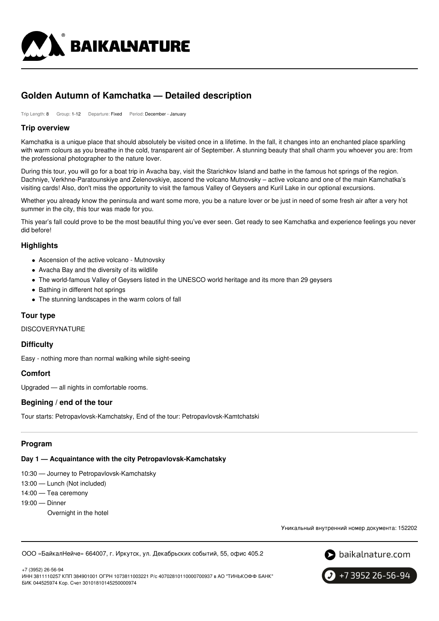

# **Golden Autumn of Kamchatka — Detailed description**

Trip Length: 8 Group: 1-12 Departure: Fixed Period: December - January

## **Trip overview**

Kamchatka is a unique place that should absolutely be visited once in a lifetime. In the fall, it changes into an enchanted place sparkling with warm colours as you breathe in the cold, transparent air of September. A stunning beauty that shall charm you whoever you are: from the professional photographer to the nature lover.

During this tour, you will go for a boat trip in Avacha bay, visit the Starichkov Island and bathe in the famous hot springs of the region. Dachniye, Verkhne-Paratounskiye and Zelenovskiye, ascend the volcano Mutnovsky – active volcano and one of the main Kamchatka's visiting cards! Also, don't miss the opportunity to visit the famous Valley of Geysers and Kuril Lake in our optional excursions.

Whether you already know the peninsula and want some more, you be a nature lover or be just in need of some fresh air after a very hot summer in the city, this tour was made for you.

This year's fall could prove to be the most beautiful thing you've ever seen. Get ready to see Kamchatka and experience feelings you never did before!

## **Highlights**

- Ascension of the active volcano Mutnovsky
- Avacha Bay and the diversity of its wildlife
- The world-famous Valley of Geysers listed in the UNESCO world heritage and its more than 29 geysers
- Bathing in different hot springs
- The stunning landscapes in the warm colors of fall

# **Tour type**

**DISCOVERYNATURE** 

## **Difficulty**

Easy - nothing more than normal walking while sight-seeing

## **Comfort**

Upgraded — all nights in comfortable rooms.

## **Begining / end of the tour**

Tour starts: Petropavlovsk-Kamchatsky, End of the tour: Petropavlovsk-Kamtchatski

# **Program**

#### **Day 1 — Acquaintance with the city Petropavlovsk-Kamchatsky**

10:30 — Journey to Petropavlovsk-Kamchatsky

- 13:00 Lunch (Not included)
- 14:00 Tea ceremony
- 19:00 Dinner
	- Overnight in the hotel

Уникальный внутренний номер документа: 152202

ООО «БайкалНейче» 664007, г. Иркутск, ул. Декабрьских событий, 55, офис 405.2



+7 (3952) 26-56-94 ИНН 3811110257 КПП 384901001 ОГРН 1073811003221 Р/с 40702810110000700937 в АО "ТИНЬКОФФ БАНК" БИК 044525974 Кор. Счет 30101810145250000974

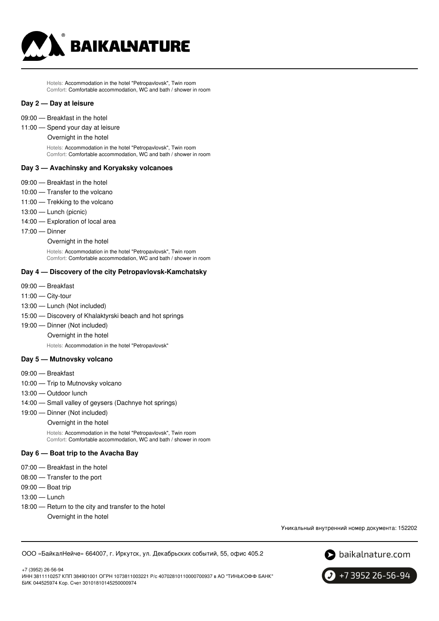

Hotels: Accommodation in the hotel "Petropavlovsk", Twin room Comfort: Comfortable accommodation, WC and bath / shower in room

#### **Day 2 — Day at leisure**

- 09:00 Breakfast in the hotel
- 11:00 Spend your day at leisure

Overnight in the hotel

Hotels: Accommodation in the hotel "Petropavlovsk", Twin room Comfort: Comfortable accommodation, WC and bath / shower in room

#### **Day 3 — Avachinsky and Koryaksky volcanoes**

- 09:00 Breakfast in the hotel
- 10:00 Transfer to the volcano
- 11:00 Trekking to the volcano
- 13:00 Lunch (picnic)
- 14:00 Exploration of local area
- 17:00 Dinner
	- Overnight in the hotel

Hotels: Accommodation in the hotel "Petropavlovsk", Twin room Comfort: Comfortable accommodation, WC and bath / shower in room

#### **Day 4 — Discovery of the city Petropavlovsk-Kamchatsky**

- 09:00 Breakfast
- 11:00 City-tour
- 13:00 Lunch (Not included)
- 15:00 Discovery of Khalaktyrski beach and hot springs
- 19:00 Dinner (Not included)

Overnight in the hotel

Hotels: Accommodation in the hotel "Petropavlovsk"

#### **Day 5 — Mutnovsky volcano**

- 09:00 Breakfast
- 10:00 Trip to Mutnovsky volcano
- 13:00 Outdoor lunch
- 14:00 Small valley of geysers (Dachnye hot springs)
- 19:00 Dinner (Not included)
	- Overnight in the hotel

Hotels: Accommodation in the hotel "Petropavlovsk", Twin room Comfort: Comfortable accommodation, WC and bath / shower in room

#### **Day 6 — Boat trip to the Avacha Bay**

- 07:00 Breakfast in the hotel
- 08:00 Transfer to the port
- 09:00 Boat trip
- 13:00 Lunch
- 18:00 Return to the city and transfer to the hotel Overnight in the hotel

Уникальный внутренний номер документа: 152202

ООО «БайкалНейче» 664007, г. Иркутск, ул. Декабрьских событий, 55, офис 405.2



+7 (3952) 26-56-94 ИНН 3811110257 КПП 384901001 ОГРН 1073811003221 Р/с 40702810110000700937 в АО "ТИНЬКОФФ БАНК" БИК 044525974 Кор. Счет 30101810145250000974

+7 3952 26-56-94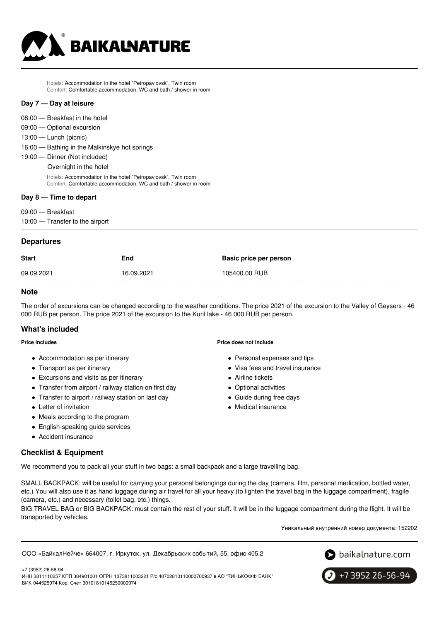

Hotels: Accommodation in the hotel "Petropavlovsk", Twin room Comfort: Comfortable accommodation, WC and bath / shower in room

#### **Day 7 — Day at leisure**

- 08:00 Breakfast in the hotel
- 09:00 Optional excursion
- 13:00 Lunch (picnic)
- 16:00 Bathing in the Malkinskye hot springs
- 19:00 Dinner (Not included)
	- Overnight in the hotel

Hotels: Accommodation in the hotel "Petropavlovsk", Twin room Comfort: Comfortable accommodation, WC and bath / shower in room

#### **Day 8 — Time to depart**

09:00 — Breakfast

10:00 — Transfer to the airport

#### **Departures**

| <b>Start</b> | End        | Basic price per person |
|--------------|------------|------------------------|
| 09.09.2021   | 16.09.2021 | 105400.00 RUB          |

## **Note**

The order of excursions can be changed according to the weather conditions. The price 2021 of the excursion to the Valley of Geysers - 46 000 RUB per person. The price 2021 of the excursion to the Kuril lake - 46 000 RUB per person.

## **What's included**

#### **Price includes**

- Accommodation as per itinerary
- Transport as per itinerary
- Excursions and visits as per itinerary
- Transfer from airport / railway station on first day
- Transfer to airport / railway station on last day
- Letter of invitation
- Meals according to the program
- English-speaking guide services
- Accident insurance

# Personal expenses and tips

- Visa fees and travel insurance
- Airline tickets
- Optional activities
- 
- 

# **Checklist & Equipment**

We recommend you to pack all your stuff in two bags: a small backpack and a large travelling bag.

SMALL BACKPACK: will be useful for carrying your personal belongings during the day (camera, film, personal medication, bottled water, etc.) You will also use it as hand luggage during air travel for all your heavy (to lighten the travel bag in the luggage compartment), fragile (camera, etc.) and necessary (toilet bag, etc.) things.

BIG TRAVEL BAG or BIG BACKPACK: must contain the rest of your stuff. It will be in the luggage compartment during the flight. It will be transported by vehicles.

Уникальный внутренний номер документа: 152202

ООО «БайкалНейче» 664007, г. Иркутск, ул. Декабрьских событий, 55, офис 405.2





+7 (3952) 26-56-94 ИНН 3811110257 КПП 384901001 ОГРН 1073811003221 Р/с 40702810110000700937 в АО "ТИНЬКОФФ БАНК" БИК 044525974 Кор. Счет 30101810145250000974

**Price does not include**

- 
- 
- 
- Guide during free days
- Medical insurance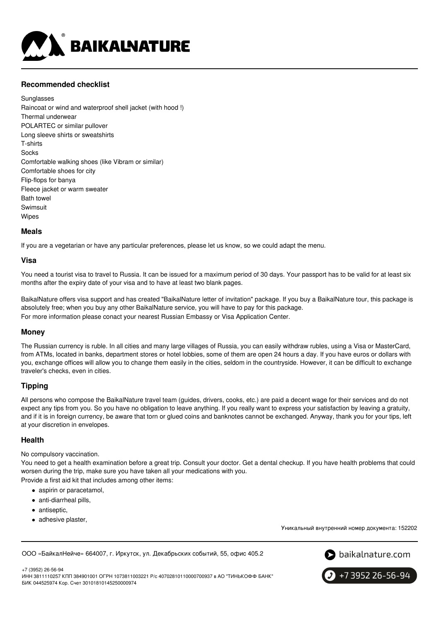

# **Recommended checklist**

**Sunglasses** Raincoat or wind and waterproof shell jacket (with hood !) Thermal underwear POLARTEC or similar pullover Long sleeve shirts or sweatshirts T-shirts **Socks** Comfortable walking shoes (like Vibram or similar) Comfortable shoes for city Flip-flops for banya Fleece jacket or warm sweater Bath towel Swimsuit Wipes

#### **Meals**

If you are a vegetarian or have any particular preferences, please let us know, so we could adapt the menu.

#### **Visa**

You need a tourist visa to travel to Russia. It can be issued for a maximum period of 30 days. Your passport has to be valid for at least six months after the expiry date of your visa and to have at least two blank pages.

BaikalNature offers visa support and has created "BaikalNature letter of invitation" package. If you buy a BaikalNature tour, this package is absolutely free; when you buy any other BaikalNature service, you will have to pay for this package. For more information please conact your nearest Russian Embassy or Visa Application Center.

## **Money**

The Russian currency is ruble. In all cities and many large villages of Russia, you can easily withdraw rubles, using a Visa or MasterCard, from ATMs, located in banks, department stores or hotel lobbies, some of them are open 24 hours a day. If you have euros or dollars with you, exchange offices will allow you to change them easily in the cities, seldom in the countryside. However, it can be difficult to exchange traveler's checks, even in cities.

## **Tipping**

All persons who compose the BaikalNature travel team (guides, drivers, cooks, etc.) are paid a decent wage for their services and do not expect any tips from you. So you have no obligation to leave anything. If you really want to express your satisfaction by leaving a gratuity, and if it is in foreign currency, be aware that torn or glued coins and banknotes cannot be exchanged. Anyway, thank you for your tips, left at your discretion in envelopes.

#### **Health**

No compulsory vaccination.

You need to get a health examination before a great trip. Consult your doctor. Get a dental checkup. If you have health problems that could worsen during the trip, make sure you have taken all your medications with you.

Provide a first aid kit that includes among other items:

- aspirin or paracetamol,
- anti-diarrheal pills,
- antiseptic,
- adhesive plaster,

Уникальный внутренний номер документа: 152202

ООО «БайкалНейче» 664007, г. Иркутск, ул. Декабрьских событий, 55, офис 405.2



+7 (3952) 26-56-94 ИНН 3811110257 КПП 384901001 ОГРН 1073811003221 Р/с 40702810110000700937 в АО "ТИНЬКОФФ БАНК" БИК 044525974 Кор. Счет 30101810145250000974